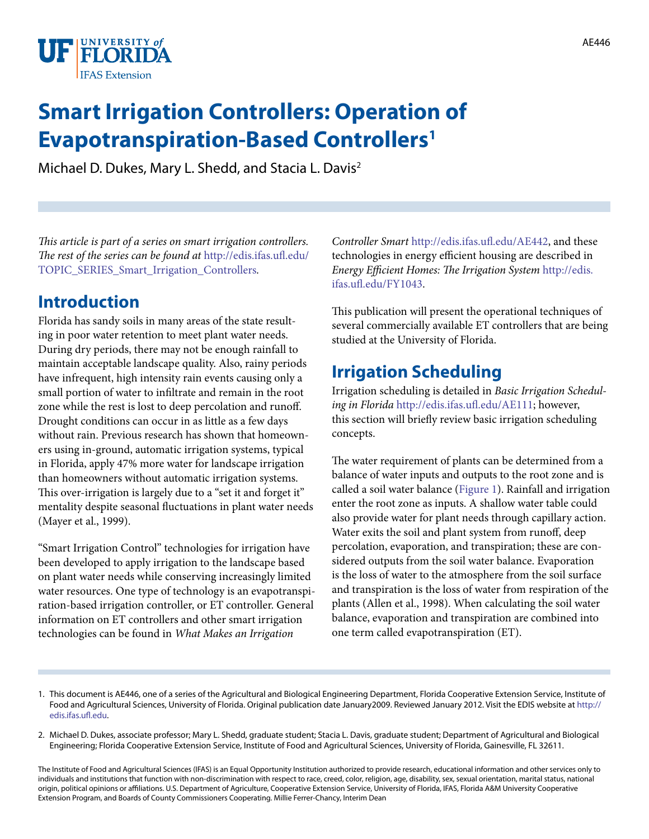

# **Smart Irrigation Controllers: Operation of Evapotranspiration-Based Controllers1**

Michael D. Dukes, Mary L. Shedd, and Stacia L. Davis2

*This article is part of a series on smart irrigation controllers. The rest of the series can be found at* [http://edis.ifas.ufl.edu/](http://edis.ifas.ufl.edu/TOPIC_SERIES_Smart_Irrigation_Controllers) [TOPIC\\_SERIES\\_Smart\\_Irrigation\\_Controllers](http://edis.ifas.ufl.edu/TOPIC_SERIES_Smart_Irrigation_Controllers)*.*

## **Introduction**

Florida has sandy soils in many areas of the state resulting in poor water retention to meet plant water needs. During dry periods, there may not be enough rainfall to maintain acceptable landscape quality. Also, rainy periods have infrequent, high intensity rain events causing only a small portion of water to infiltrate and remain in the root zone while the rest is lost to deep percolation and runoff. Drought conditions can occur in as little as a few days without rain. Previous research has shown that homeowners using in-ground, automatic irrigation systems, typical in Florida, apply 47% more water for landscape irrigation than homeowners without automatic irrigation systems. This over-irrigation is largely due to a "set it and forget it" mentality despite seasonal fluctuations in plant water needs (Mayer et al., 1999).

"Smart Irrigation Control" technologies for irrigation have been developed to apply irrigation to the landscape based on plant water needs while conserving increasingly limited water resources. One type of technology is an evapotranspiration-based irrigation controller, or ET controller. General information on ET controllers and other smart irrigation technologies can be found in *What Makes an Irrigation* 

*Controller Smart* <http://edis.ifas.ufl.edu/AE442>, and these technologies in energy efficient housing are described in *Energy Efficient Homes: The Irrigation System* [http://edis.](http://edis.ifas.ufl.edu/FY1043) [ifas.ufl.edu/FY1043.](http://edis.ifas.ufl.edu/FY1043)

This publication will present the operational techniques of several commercially available ET controllers that are being studied at the University of Florida.

## **Irrigation Scheduling**

Irrigation scheduling is detailed in *Basic Irrigation Scheduling in Florida* <http://edis.ifas.ufl.edu/AE111>; however, this section will briefly review basic irrigation scheduling concepts.

The water requirement of plants can be determined from a balance of water inputs and outputs to the root zone and is called a soil water balance [\(Figure 1](FIGURE_1)). Rainfall and irrigation enter the root zone as inputs. A shallow water table could also provide water for plant needs through capillary action. Water exits the soil and plant system from runoff, deep percolation, evaporation, and transpiration; these are considered outputs from the soil water balance. Evaporation is the loss of water to the atmosphere from the soil surface and transpiration is the loss of water from respiration of the plants (Allen et al., 1998). When calculating the soil water balance, evaporation and transpiration are combined into one term called evapotranspiration (ET).

- 1. This document is AE446, one of a series of the Agricultural and Biological Engineering Department, Florida Cooperative Extension Service, Institute of Food and Agricultural Sciences, University of Florida. Original publication date January2009. Reviewed January 2012. Visit the EDIS website at [http://](http://edis.ifas.ufl.edu) [edis.ifas.ufl.edu.](http://edis.ifas.ufl.edu)
- 2. Michael D. Dukes, associate professor; Mary L. Shedd, graduate student; Stacia L. Davis, graduate student; Department of Agricultural and Biological Engineering; Florida Cooperative Extension Service, Institute of Food and Agricultural Sciences, University of Florida, Gainesville, FL 32611.

The Institute of Food and Agricultural Sciences (IFAS) is an Equal Opportunity Institution authorized to provide research, educational information and other services only to individuals and institutions that function with non-discrimination with respect to race, creed, color, religion, age, disability, sex, sexual orientation, marital status, national origin, political opinions or affiliations. U.S. Department of Agriculture, Cooperative Extension Service, University of Florida, IFAS, Florida A&M University Cooperative Extension Program, and Boards of County Commissioners Cooperating. Millie Ferrer-Chancy, Interim Dean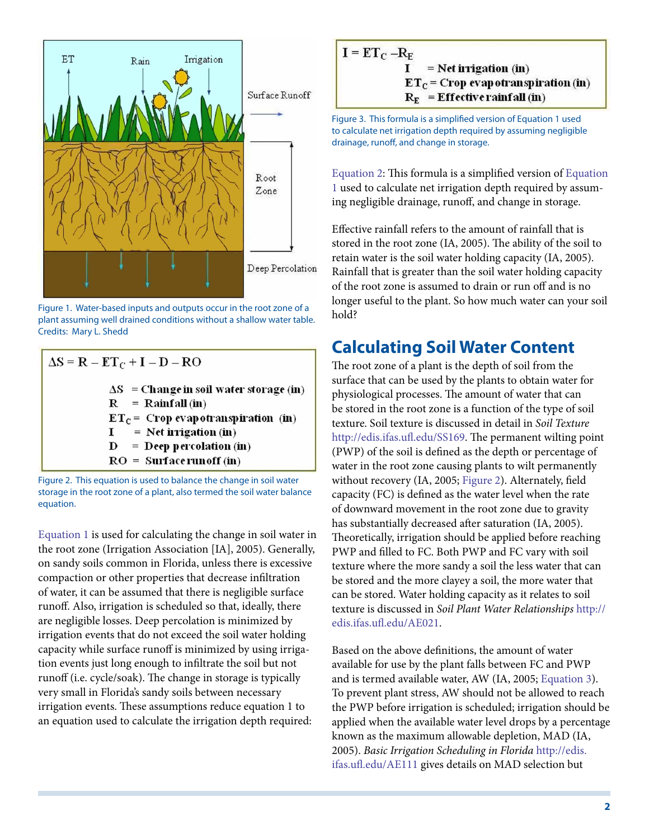

Figure 1. Water-based inputs and outputs occur in the root zone of a plant assuming well drained conditions without a shallow water table. Credits: Mary L. Shedd

$$
\Delta S = R - ET_C + I - D - RO
$$
\n
$$
\Delta S = \text{Change in soil water storage (in)}
$$
\n
$$
R = \text{Rainfall (in)}
$$
\n
$$
ET_C = \text{Crop evaporation (in)}
$$
\n
$$
I = \text{Net migration (in)}
$$
\n
$$
D = \text{Deep percolation (in)}
$$
\n
$$
RO = \text{Surface runoff (in)}
$$

Figure 2. This equation is used to balance the change in soil water storage in the root zone of a plant, also termed the soil water balance equation.

[Equation 1](FIGURE_2) is used for calculating the change in soil water in the root zone (Irrigation Association [IA], 2005). Generally, on sandy soils common in Florida, unless there is excessive compaction or other properties that decrease infiltration of water, it can be assumed that there is negligible surface runoff. Also, irrigation is scheduled so that, ideally, there are negligible losses. Deep percolation is minimized by irrigation events that do not exceed the soil water holding capacity while surface runoff is minimized by using irrigation events just long enough to infiltrate the soil but not runoff (i.e. cycle/soak). The change in storage is typically very small in Florida's sandy soils between necessary irrigation events. These assumptions reduce equation 1 to an equation used to calculate the irrigation depth required:

$$
I = ET_C - R_E
$$
  
\n
$$
I = Net \,irrigation \, (in)
$$
  
\n
$$
ET_C = Crop \,evap \,otranspiration \, (in)
$$
  
\n
$$
R_E = Effective \,ranfall \, (in)
$$

Figure 3. This formula is a simplified version of Equation 1 used to calculate net irrigation depth required by assuming negligible drainage, runoff, and change in storage.

[Equation 2](FIGURE_3): This formula is a simplified version of [Equation](FIGURE_2)  [1](FIGURE_2) used to calculate net irrigation depth required by assuming negligible drainage, runoff, and change in storage.

Effective rainfall refers to the amount of rainfall that is stored in the root zone (IA, 2005). The ability of the soil to retain water is the soil water holding capacity (IA, 2005). Rainfall that is greater than the soil water holding capacity of the root zone is assumed to drain or run off and is no longer useful to the plant. So how much water can your soil hold?

## **Calculating Soil Water Content**

The root zone of a plant is the depth of soil from the surface that can be used by the plants to obtain water for physiological processes. The amount of water that can be stored in the root zone is a function of the type of soil texture. Soil texture is discussed in detail in *Soil Texture* [http://edis.ifas.ufl.edu/SS169.](http://edis.ifas.ufl.edu/SS169) The permanent wilting point (PWP) of the soil is defined as the depth or percentage of water in the root zone causing plants to wilt permanently without recovery (IA, 2005; [Figure 2](FIGURE_4)). Alternately, field capacity (FC) is defined as the water level when the rate of downward movement in the root zone due to gravity has substantially decreased after saturation (IA, 2005). Theoretically, irrigation should be applied before reaching PWP and filled to FC. Both PWP and FC vary with soil texture where the more sandy a soil the less water that can be stored and the more clayey a soil, the more water that can be stored. Water holding capacity as it relates to soil texture is discussed in *Soil Plant Water Relationships* [http://](http://edis.ifas.ufl.edu/AE021) [edis.ifas.ufl.edu/AE021](http://edis.ifas.ufl.edu/AE021).

Based on the above definitions, the amount of water available for use by the plant falls between FC and PWP and is termed available water, AW (IA, 2005; [Equation 3](FIGURE_5)). To prevent plant stress, AW should not be allowed to reach the PWP before irrigation is scheduled; irrigation should be applied when the available water level drops by a percentage known as the maximum allowable depletion, MAD (IA, 2005). *Basic Irrigation Scheduling in Florida* [http://edis.](http://edis.ifas.ufl.edu/AE111) [ifas.ufl.edu/AE111](http://edis.ifas.ufl.edu/AE111) gives details on MAD selection but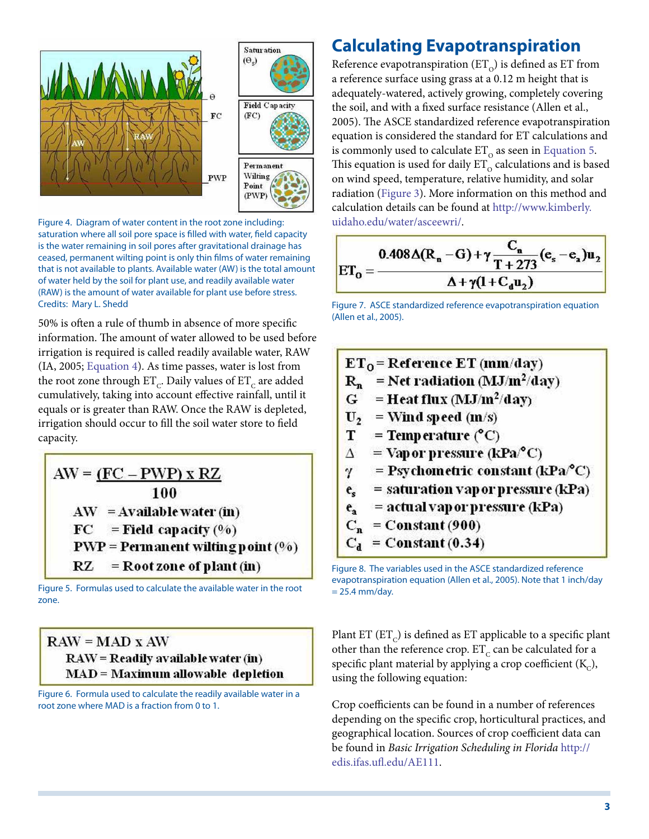

Figure 4. Diagram of water content in the root zone including: saturation where all soil pore space is filled with water, field capacity is the water remaining in soil pores after gravitational drainage has ceased, permanent wilting point is only thin films of water remaining that is not available to plants. Available water (AW) is the total amount of water held by the soil for plant use, and readily available water (RAW) is the amount of water available for plant use before stress. Credits: Mary L. Shedd

50% is often a rule of thumb in absence of more specific information. The amount of water allowed to be used before irrigation is required is called readily available water, RAW (IA, 2005; [Equation 4\)](FIGURE_6). As time passes, water is lost from the root zone through  $ET_C$ . Daily values of  $ET_C$  are added cumulatively, taking into account effective rainfall, until it equals or is greater than RAW. Once the RAW is depleted, irrigation should occur to fill the soil water store to field capacity.

$$
AW = \underbrace{(FC - PWP) \times RZ}_{100}
$$
\n
$$
AW = Available water (in)
$$
\n
$$
FC = Field capacity (%)
$$
\n
$$
PWP = Permanent wilting point (%)
$$
\n
$$
RZ = Root zone of plant (in)
$$

Figure 5. Formulas used to calculate the available water in the root zone.

 $RAW = MAD X AW$ **RAW** = Readily available water (in) **MAD** = Maximum allowable depletion

Figure 6. Formula used to calculate the readily available water in a root zone where MAD is a fraction from 0 to 1.

## **Calculating Evapotranspiration**

Reference evapotranspiration  $(ET_{o})$  is defined as ET from a reference surface using grass at a 0.12 m height that is adequately-watered, actively growing, completely covering the soil, and with a fixed surface resistance (Allen et al., 2005). The ASCE standardized reference evapotranspiration equation is considered the standard for ET calculations and is commonly used to calculate  $ET_0$  as seen in [Equation 5.](FIGURE_7) This equation is used for daily  $ET_{\alpha}$  calculations and is based on wind speed, temperature, relative humidity, and solar radiation ([Figure 3\)](FIGURE_8). More information on this method and calculation details can be found at [http://www.kimberly.](http://www.kimberly.uidaho.edu/water/asceewri/) [uidaho.edu/water/asceewri/](http://www.kimberly.uidaho.edu/water/asceewri/).

$$
ET_{0} = \frac{0.408\Delta(R_{n} - G) + \gamma \frac{C_{n}}{T + 273}(e_{s} - e_{a})u_{2}}{\Delta + \gamma(1 + C_{d}u_{2})}
$$

Figure 7. ASCE standardized reference evapotranspiration equation (Allen et al., 2005).

|                | $ET_0$ = Reference ET (mm/day)                      |
|----------------|-----------------------------------------------------|
| $R_n$          | = Net radiation (MJ/m <sup>2</sup> /day)            |
|                | $G =$ Heat flux (MJ/m <sup>2</sup> /day)            |
|                | $U_2$ = Wind speed (m/s)                            |
| $\mathbf{T}$   | $=$ Temp erature (°C)                               |
| $\Delta$       | $=$ Vap or pressure (kPa/°C)                        |
|                | $\gamma$ = Psychometric constant (kPa $^{\circ}$ C) |
| $e_{\rm c}$    | $=$ saturation vapor pressure (kPa)                 |
| $\mathbf{e}_i$ | $=$ actual vapor pressure (kPa)                     |
|                | $C_n =$ Constant (900)                              |
| $C_{d}$        | $=$ Constant (0.34)                                 |

Figure 8. The variables used in the ASCE standardized reference evapotranspiration equation (Allen et al., 2005). Note that 1 inch/day  $= 25.4$  mm/day.

Plant ET  $(ET<sub>c</sub>)$  is defined as ET applicable to a specific plant other than the reference crop.  $ET_c$  can be calculated for a specific plant material by applying a crop coefficient  $(K_c)$ , using the following equation:

Crop coefficients can be found in a number of references depending on the specific crop, horticultural practices, and geographical location. Sources of crop coefficient data can be found in *Basic Irrigation Scheduling in Florida* [http://](AE111) [edis.ifas.ufl.edu/AE111](AE111).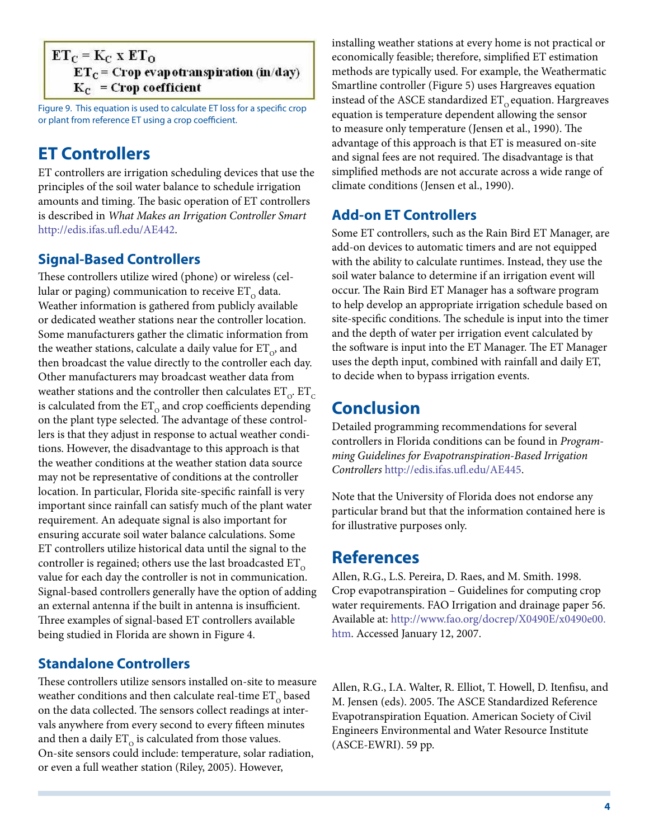#### $ET_C = K_C$  x  $ET_O$  $ET_C$  = Crop evapotranspiration (in/day)  $K_C$  = Crop coefficient

Figure 9. This equation is used to calculate ET loss for a specific crop or plant from reference ET using a crop coefficient.

## **ET Controllers**

ET controllers are irrigation scheduling devices that use the principles of the soil water balance to schedule irrigation amounts and timing. The basic operation of ET controllers is described in *What Makes an Irrigation Controller Smart* [http://edis.ifas.ufl.edu/AE442.](http://edis.ifas.ufl.edu/AE442)

### **Signal-Based Controllers**

These controllers utilize wired (phone) or wireless (cellular or paging) communication to receive  $ET_0$  data. Weather information is gathered from publicly available or dedicated weather stations near the controller location. Some manufacturers gather the climatic information from the weather stations, calculate a daily value for  $ET_{\alpha}$ , and then broadcast the value directly to the controller each day. Other manufacturers may broadcast weather data from weather stations and the controller then calculates  $ET_{\Omega}$ .  $ET_{\Omega}$ is calculated from the  $ET_0$  and crop coefficients depending on the plant type selected. The advantage of these controllers is that they adjust in response to actual weather conditions. However, the disadvantage to this approach is that the weather conditions at the weather station data source may not be representative of conditions at the controller location. In particular, Florida site-specific rainfall is very important since rainfall can satisfy much of the plant water requirement. An adequate signal is also important for ensuring accurate soil water balance calculations. Some ET controllers utilize historical data until the signal to the controller is regained; others use the last broadcasted  $ET_0$ value for each day the controller is not in communication. Signal-based controllers generally have the option of adding an external antenna if the built in antenna is insufficient. Three examples of signal-based ET controllers available being studied in Florida are shown in Figure 4.

### **Standalone Controllers**

These controllers utilize sensors installed on-site to measure weather conditions and then calculate real-time  $ET_0$  based on the data collected. The sensors collect readings at intervals anywhere from every second to every fifteen minutes and then a daily  $ET_0$  is calculated from those values. On-site sensors could include: temperature, solar radiation, or even a full weather station (Riley, 2005). However,

installing weather stations at every home is not practical or economically feasible; therefore, simplified ET estimation methods are typically used. For example, the Weathermatic Smartline controller (Figure 5) uses Hargreaves equation instead of the ASCE standardized  $ET_0$  equation. Hargreaves equation is temperature dependent allowing the sensor to measure only temperature (Jensen et al., 1990). The advantage of this approach is that ET is measured on-site and signal fees are not required. The disadvantage is that simplified methods are not accurate across a wide range of climate conditions (Jensen et al., 1990).

### **Add-on ET Controllers**

Some ET controllers, such as the Rain Bird ET Manager, are add-on devices to automatic timers and are not equipped with the ability to calculate runtimes. Instead, they use the soil water balance to determine if an irrigation event will occur. The Rain Bird ET Manager has a software program to help develop an appropriate irrigation schedule based on site-specific conditions. The schedule is input into the timer and the depth of water per irrigation event calculated by the software is input into the ET Manager. The ET Manager uses the depth input, combined with rainfall and daily ET, to decide when to bypass irrigation events.

## **Conclusion**

Detailed programming recommendations for several controllers in Florida conditions can be found in *Programming Guidelines for Evapotranspiration-Based Irrigation Controllers* <http://edis.ifas.ufl.edu/AE445>.

Note that the University of Florida does not endorse any particular brand but that the information contained here is for illustrative purposes only.

## **References**

Allen, R.G., L.S. Pereira, D. Raes, and M. Smith. 1998. Crop evapotranspiration – Guidelines for computing crop water requirements. FAO Irrigation and drainage paper 56. Available at: [http://www.fao.org/docrep/X0490E/x0490e00.](http://www.fao.org/docrep/X0490E/x0490e00.htm) [htm](http://www.fao.org/docrep/X0490E/x0490e00.htm). Accessed January 12, 2007.

Allen, R.G., I.A. Walter, R. Elliot, T. Howell, D. Itenfisu, and M. Jensen (eds). 2005. The ASCE Standardized Reference Evapotranspiration Equation. American Society of Civil Engineers Environmental and Water Resource Institute (ASCE-EWRI). 59 pp.